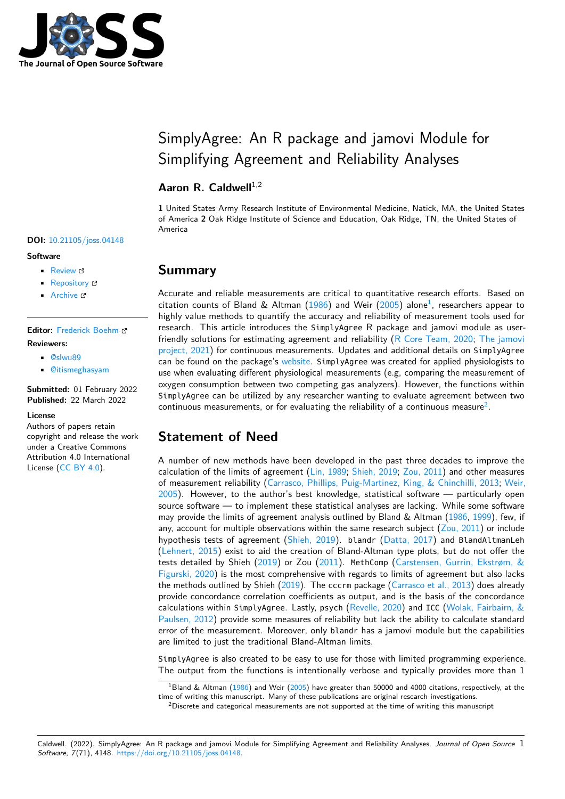

# SimplyAgree: An R package and jamovi Module for Simplifying Agreement and Reliability Analyses

#### Aaron R. Caldwell<sup>1,2</sup>

**1** United States Army Research Institute of Environmental Medicine, Natick, MA, the United States of America **2** Oak Ridge Institute of Science and Education, Oak Ridge, TN, the United States of America

#### **DOI:** [10.21105/joss.04148](https://doi.org/10.21105/joss.04148)

#### **Software**

- [Review](https://github.com/openjournals/joss-reviews/issues/4148) &
- [Repository](https://github.com/arcaldwell49/SimplyAgree) C
- [Archive](https://doi.org/10.5281/zenodo.6338611) c

**Editor:** [Frederick Boehm](https://fboehm.us) **Reviewers:**

- [@slwu89](https://github.com/slwu89)
- [@itismeghasyam](https://github.com/itismeghasyam)

**Submitted:** 01 February 2022 **Published:** 22 March 2022

#### **License**

Authors of papers retain copyright and release the work under a Creative Commons Attribution 4.0 International License [\(CC BY 4.0\)](https://creativecommons.org/licenses/by/4.0/).

#### **Summary**

Accurate and reliable measurements are critical to quantitative research efforts. Based on citation counts of Bland & Altman [\(1986\)](#page-4-0) and Weir [\(2005\)](#page-5-0) alone<sup>[1](#page-0-0)</sup>, researchers appear to highly value methods to quantify the accuracy and reliability of measurement tools used for research. This article introduces the SimplyAgree R package and jamovi module as userfriendly solutions for estimating agreement and reliability [\(R Core Team, 2020;](#page-5-1) [The jamovi](#page-5-2) [project, 2021\)](#page-5-2) for continuous measurements. Updates and additional details on SimplyAgree can be found on the package's [website.](https://aaroncaldwell.us/SimplyAgree) SimplyAgree was created for applied physiologists to use when evaluating different physiological measurements (e.g, comparing the measurement of oxygen consumption between two competing gas analyzers). However, the functions within SimplyAgree can be utilized by any researcher wanting to evaluate agreement between two continuous measurements, or for evaluating the reliability of a continuous measure<sup>[2](#page-0-1)</sup>.

## **Statement of Need**

A number of new methods have been developed in the past three decades to improve the calculation of the limits of agreement [\(Lin, 1989;](#page-5-3) [Shieh, 2019;](#page-5-4) [Zou, 2011\)](#page-5-5) and other measures of measurement reliability [\(Carrasco, Phillips, Puig-Martinez, King, & Chinchilli, 2013;](#page-4-1) [Weir,](#page-5-0)  $2005$ ). However, to the author's best knowledge, statistical software  $-$  particularly open source software — to implement these statistical analyses are lacking. While some software may provide the limits of agreement analysis outlined by Bland  $\&$  Altman [\(1986,](#page-4-0) [1999\)](#page-4-2), few, if any, account for multiple observations within the same research subject  $(Zou, 2011)$  or include hypothesis tests of agreement [\(Shieh, 2019\)](#page-5-4). blandr [\(Datta, 2017\)](#page-4-3) and BlandAltmanLeh [\(Lehnert, 2015\)](#page-4-4) exist to aid the creation of Bland-Altman type plots, but do not offer the tests detailed by Shieh [\(2019\)](#page-5-4) or Zou [\(2011\)](#page-5-5). MethComp [\(Carstensen, Gurrin, Ekstrøm, &](#page-4-5) [Figurski, 2020\)](#page-4-5) is the most comprehensive with regards to limits of agreement but also lacks the methods outlined by Shieh [\(2019\)](#page-5-4). The cccrm package [\(Carrasco et al., 2013\)](#page-4-1) does already provide concordance correlation coefficients as output, and is the basis of the concordance calculations within SimplyAgree. Lastly, psych [\(Revelle, 2020\)](#page-5-6) and ICC [\(Wolak, Fairbairn, &](#page-5-7) [Paulsen, 2012\)](#page-5-7) provide some measures of reliability but lack the ability to calculate standard error of the measurement. Moreover, only blandr has a jamovi module but the capabilities are limited to just the traditional Bland-Altman limits.

SimplyAgree is also created to be easy to use for those with limited programming experience. The output from the functions is intentionally verbose and typically provides more than 1

Caldwell. (2022). SimplyAgree: An R package and jamovi Module for Simplifying Agreement and Reliability Analyses. Journal of Open Source 1 Software, 7(71), 4148. [https://doi.org/10.21105/joss.04148.](https://doi.org/10.21105/joss.04148)

<span id="page-0-0"></span> $^1$ Bland & Altman [\(1986\)](#page-4-0) and Weir [\(2005\)](#page-5-0) have greater than 50000 and 4000 citations, respectively, at the time of writing this manuscript. Many of these publications are original research investigations.

<span id="page-0-1"></span><sup>&</sup>lt;sup>2</sup>Discrete and categorical measurements are not supported at the time of writing this manuscript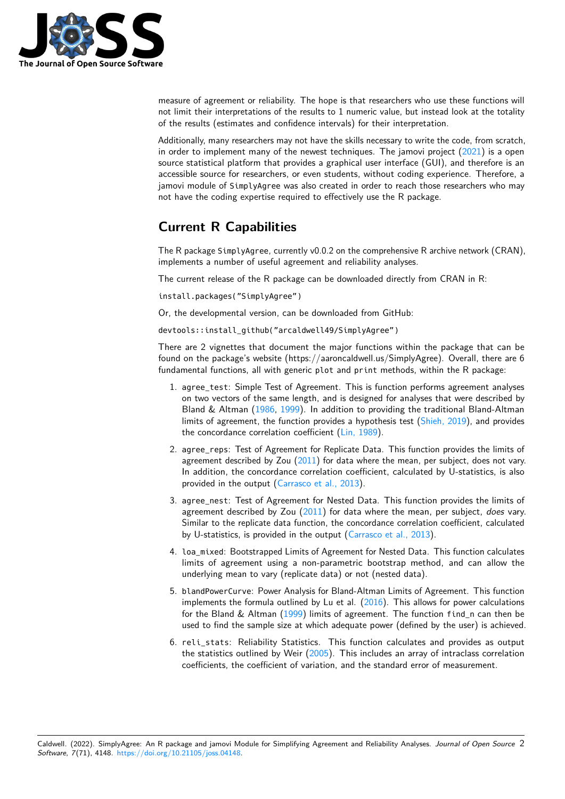

measure of agreement or reliability. The hope is that researchers who use these functions will not limit their interpretations of the results to 1 numeric value, but instead look at the totality of the results (estimates and confidence intervals) for their interpretation.

Additionally, many researchers may not have the skills necessary to write the code, from scratch, in order to implement many of the newest techniques. The jamovi project  $(2021)$  is a open source statistical platform that provides a graphical user interface (GUI), and therefore is an accessible source for researchers, or even students, without coding experience. Therefore, a jamovi module of SimplyAgree was also created in order to reach those researchers who may not have the coding expertise required to effectively use the R package.

### **Current R Capabilities**

The R package SimplyAgree, currently v0.0.2 on the comprehensive R archive network (CRAN), implements a number of useful agreement and reliability analyses.

The current release of the R package can be downloaded directly from CRAN in R:

install.packages("SimplyAgree")

Or, the developmental version, can be downloaded from GitHub:

devtools::install\_github("arcaldwell49/SimplyAgree")

There are 2 vignettes that document the major functions within the package that can be found on the package's website (https://aaroncaldwell.us/SimplyAgree). Overall, there are 6 fundamental functions, all with generic plot and print methods, within the R package:

- 1. agree\_test: Simple Test of Agreement. This is function performs agreement analyses on two vectors of the same length, and is designed for analyses that were described by Bland & Altman [\(1986,](#page-4-0) [1999\)](#page-4-2). In addition to providing the traditional Bland-Altman limits of agreement, the function provides a hypothesis test [\(Shieh, 2019\)](#page-5-4), and provides the concordance correlation coefficient [\(Lin, 1989\)](#page-5-3).
- 2. agree\_reps: Test of Agreement for Replicate Data. This function provides the limits of agreement described by Zou  $(2011)$  for data where the mean, per subject, does not vary. In addition, the concordance correlation coefficient, calculated by U-statistics, is also provided in the output [\(Carrasco et al., 2013\)](#page-4-1).
- 3. agree\_nest: Test of Agreement for Nested Data. This function provides the limits of agreement described by Zou [\(2011\)](#page-5-5) for data where the mean, per subject, does vary. Similar to the replicate data function, the concordance correlation coefficient, calculated by U-statistics, is provided in the output [\(Carrasco et al., 2013\)](#page-4-1).
- 4. Loa mixed: Bootstrapped Limits of Agreement for Nested Data. This function calculates limits of agreement using a non-parametric bootstrap method, and can allow the underlying mean to vary (replicate data) or not (nested data).
- 5. blandPowerCurve: Power Analysis for Bland-Altman Limits of Agreement. This function implements the formula outlined by Lu et al.  $(2016)$ . This allows for power calculations for the Bland  $\&$  Altman [\(1999\)](#page-4-2) limits of agreement. The function find n can then be used to find the sample size at which adequate power (defined by the user) is achieved.
- 6. reli\_stats: Reliability Statistics. This function calculates and provides as output the statistics outlined by Weir [\(2005\)](#page-5-0). This includes an array of intraclass correlation coefficients, the coefficient of variation, and the standard error of measurement.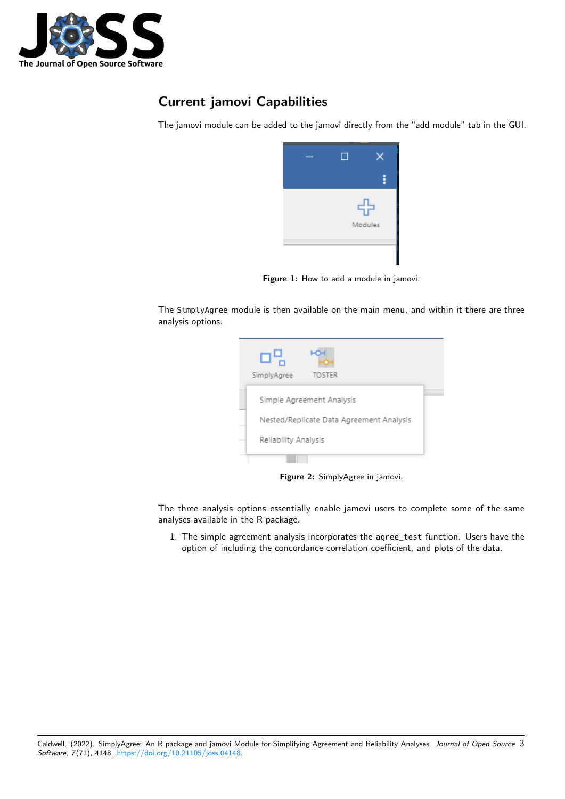

# **Current jamovi Capabilities**

The jamovi module can be added to the jamovi directly from the "add module" tab in the GUI.



Figure 1: How to add a module in jamovi.

The SimplyAgree module is then available on the main menu, and within it there are three analysis options.

| SimplyAgree          | <b>TOSTER</b>                            |  |
|----------------------|------------------------------------------|--|
|                      | Simple Agreement Analysis                |  |
|                      | Nested/Replicate Data Agreement Analysis |  |
| Reliability Analysis |                                          |  |
|                      |                                          |  |

**Figure 2:** SimplyAgree in jamovi.

The three analysis options essentially enable jamovi users to complete some of the same analyses available in the R package.

1. The simple agreement analysis incorporates the agree\_test function. Users have the option of including the concordance correlation coefficient, and plots of the data.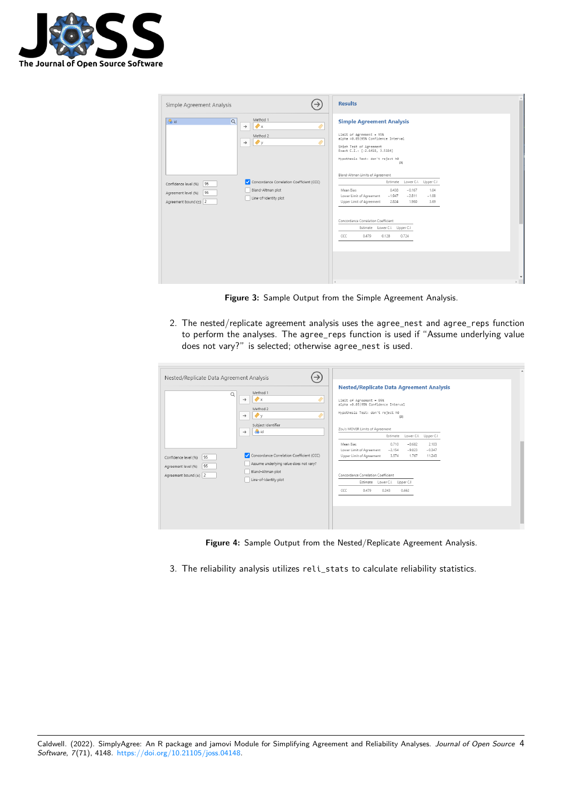

| Simple Agreement Analysis                                                            | $\rightarrow$                                                                                 | <b>Results</b>                                                                                                                                                                                                                          |
|--------------------------------------------------------------------------------------|-----------------------------------------------------------------------------------------------|-----------------------------------------------------------------------------------------------------------------------------------------------------------------------------------------------------------------------------------------|
| <b>Co</b> id<br>Q                                                                    | Method 1<br>$\bigtriangledown$ x<br>$\rightarrow$<br>Method 2<br>$\bullet$ y<br>$\rightarrow$ | <b>Simple Agreement Analysis</b><br>Limit of Agreement = 95%<br>alpha =0.05 95% Confidence Interval<br>Shieh Test of Agreement<br>Exact C.I.: [-2.6418, 3.5184]<br>Hypothesis Test: don't reject h0                                     |
| 95<br>Confidence level (%)<br>95<br>Agreement level (%)<br>Agreement bound $(\pm)$ 2 | Concordance Correlation Coefficient (CCC)<br>Bland-Altman plot<br>Line-of-Identity plot       | [3]<br>Bland-Altman Limits of Agreement<br>Estimate Lower C.I. Upper C.I<br>0.438<br>$-0.167$<br>1.04<br>Mean Bias<br>Lower Limit of Agreement<br>$-1.947$<br>$-1.08$<br>$-2.811$<br>Upper Limit of Agreement<br>2.824<br>3.69<br>1.960 |
|                                                                                      |                                                                                               | Concordance Correlation Coefficient<br>Estimate Lower C.I. Upper C.I<br>CCC<br>0.479<br>0.128<br>0.724                                                                                                                                  |

**Figure 3:** Sample Output from the Simple Agreement Analysis.

2. The nested/replicate agreement analysis uses the agree\_nest and agree\_reps function to perform the analyses. The agree\_reps function is used if "Assume underlying value does not vary?" is selected; otherwise agree\_nest is used.

| Nested/Replicate Data Agreement Analysis<br>Q                                    | $\rightarrow$<br>Method 1<br>$\bullet$ x<br>$\rightarrow$<br>Method 2<br>$\bullet$<br>$\rightarrow$<br>Subject Identifier                                         | <b>Nested/Replicate Data Agreement Analysis</b><br>Limit of Agreement = 95%<br>alpha =0.05 95% Confidence Interval<br>Hypothesis Test: don't reject h0<br>[3]                                                                                                                                                  |
|----------------------------------------------------------------------------------|-------------------------------------------------------------------------------------------------------------------------------------------------------------------|----------------------------------------------------------------------------------------------------------------------------------------------------------------------------------------------------------------------------------------------------------------------------------------------------------------|
| 95<br>Confidence level (%)<br>95<br>Agreement level (%)<br>Agreement bound (±) 2 | <b>B</b> id<br>$\rightarrow$<br>Concordance Correlation Coefficient (CCC)<br>Assume underlying value does not vary?<br>Bland-Altman plot<br>Line-of-Identity plot | Zou's MOVER Limits of Agreement<br>Estimate Lower C.I. Upper C.I<br>0.710<br>Mean Rias<br>$-0.682$<br>2.103<br>$-2.154$<br>Lower Limit of Agreement<br>$-9.823$<br>$-0.347$<br>3.574<br>Upper Limit of Agreement<br>1.767<br>11.243<br>Concordance Correlation Coefficient<br>Estimate Lower C.I.<br>Upper C.I |
|                                                                                  |                                                                                                                                                                   | CCC<br>0.479<br>0.243<br>0.662                                                                                                                                                                                                                                                                                 |

**Figure 4:** Sample Output from the Nested/Replicate Agreement Analysis.

3. The reliability analysis utilizes reli\_stats to calculate reliability statistics.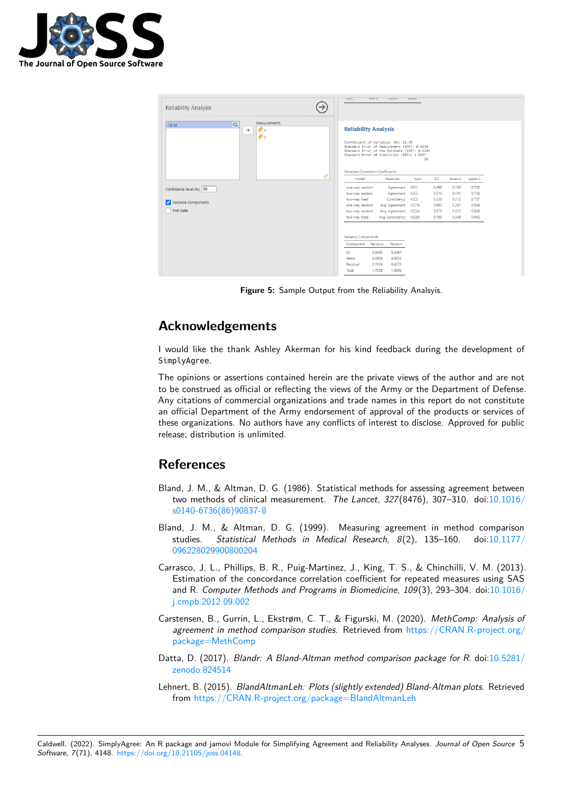

| Reliability Analysis                                                                       | $\rightarrow$ | $\overline{\mathbf{C}}$<br>VAT2                                                                                                                                                                                                                               | リスキス                                                                                    | U.UUZ |       |          |          |
|--------------------------------------------------------------------------------------------|---------------|---------------------------------------------------------------------------------------------------------------------------------------------------------------------------------------------------------------------------------------------------------------|-----------------------------------------------------------------------------------------|-------|-------|----------|----------|
| Measurements<br><b>&amp;</b> id<br>$\alpha$<br>$\bullet$ x<br>$\rightarrow$<br>$\bullet$ y |               | <b>Reliability Analysis</b><br>Coefficient of Variation (%): 12.35<br>Standard Error of Measurement (SEM): 0.8634<br>Standard Error of the Estimate (SEE): 0.9145<br>Standard Error of Prediction (SEP): 1.5457<br>[3]<br>Intraclass Correlation Coefficients |                                                                                         |       |       |          |          |
|                                                                                            |               | model                                                                                                                                                                                                                                                         | measures                                                                                | type  | ICC   | lower.ci | upper.ci |
| Confidence level (%) 95                                                                    |               | one-way random                                                                                                                                                                                                                                                | Agreement                                                                               | ICC1  | 0.496 | 0.163    | 0.730    |
|                                                                                            |               | two-way random                                                                                                                                                                                                                                                | Agreement                                                                               | ICC2  | 0.510 | 0.191    | 0.736    |
|                                                                                            |               | two-way fixed                                                                                                                                                                                                                                                 | Consistency                                                                             | ICC3  | 0.538 | 0.212    | 0.757    |
| Variance Components                                                                        |               | one-way random                                                                                                                                                                                                                                                | Avg. Agreement                                                                          | ICC1k | 0.663 | 0.281    | 0.844    |
| Plot Data                                                                                  |               | two-way random                                                                                                                                                                                                                                                | Avg. Agreement                                                                          | ICC2k | 0.675 | 0.321    | 0.848    |
|                                                                                            |               | two-way fixed                                                                                                                                                                                                                                                 | Avg. Consistency ICC3k                                                                  |       | 0.700 | 0.349    | 0.862    |
|                                                                                            |               | Variance Components<br>Component Variance<br>ID<br>Items<br>Residual<br>Total                                                                                                                                                                                 | Percent<br>0.5097<br>0.8695<br>0.0909<br>0.0533<br>0.7454<br>0.4370<br>1.7059<br>1.0000 |       |       |          |          |

**Figure 5:** Sample Output from the Reliability Analsyis.

### **Acknowledgements**

I would like the thank Ashley Akerman for his kind feedback during the development of SimplyAgree.

The opinions or assertions contained herein are the private views of the author and are not to be construed as official or reflecting the views of the Army or the Department of Defense. Any citations of commercial organizations and trade names in this report do not constitute an official Department of the Army endorsement of approval of the products or services of these organizations. No authors have any conflicts of interest to disclose. Approved for public release; distribution is unlimited.

### **References**

- <span id="page-4-0"></span>Bland, J. M., & Altman, D. G. (1986). Statistical methods for assessing agreement between two methods of clinical measurement. The Lancet, 327(8476), 307–310. doi[:10.1016/](https://doi.org/10.1016/s0140-6736(86)90837-8) [s0140-6736\(86\)90837-8](https://doi.org/10.1016/s0140-6736(86)90837-8)
- <span id="page-4-2"></span>Bland, J. M., & Altman, D. G. (1999). Measuring agreement in method comparison studies. Statistical Methods in Medical Research, 8(2), 135–160. doi[:10.1177/](https://doi.org/10.1177/096228029900800204) [096228029900800204](https://doi.org/10.1177/096228029900800204)
- <span id="page-4-1"></span>Carrasco, J. L., Phillips, B. R., Puig-Martinez, J., King, T. S., & Chinchilli, V. M. (2013). Estimation of the concordance correlation coefficient for repeated measures using SAS and R. Computer Methods and Programs in Biomedicine, 109(3), 293–304. doi[:10.1016/](https://doi.org/10.1016/j.cmpb.2012.09.002) [j.cmpb.2012.09.002](https://doi.org/10.1016/j.cmpb.2012.09.002)
- <span id="page-4-5"></span>Carstensen, B., Gurrin, L., Ekstrøm, C. T., & Figurski, M. (2020). MethComp: Analysis of agreement in method comparison studies. Retrieved from [https://CRAN.R-project.org/](https://CRAN.R-project.org/package=MethComp) [package=MethComp](https://CRAN.R-project.org/package=MethComp)
- <span id="page-4-3"></span>Datta, D. (2017). Blandr: A Bland-Altman method comparison package for R. doi[:10.5281/](https://doi.org/10.5281/zenodo.824514) [zenodo.824514](https://doi.org/10.5281/zenodo.824514)
- <span id="page-4-4"></span>Lehnert, B. (2015). BlandAltmanLeh: Plots (slightly extended) Bland-Altman plots. Retrieved from <https://CRAN.R-project.org/package=BlandAltmanLeh>